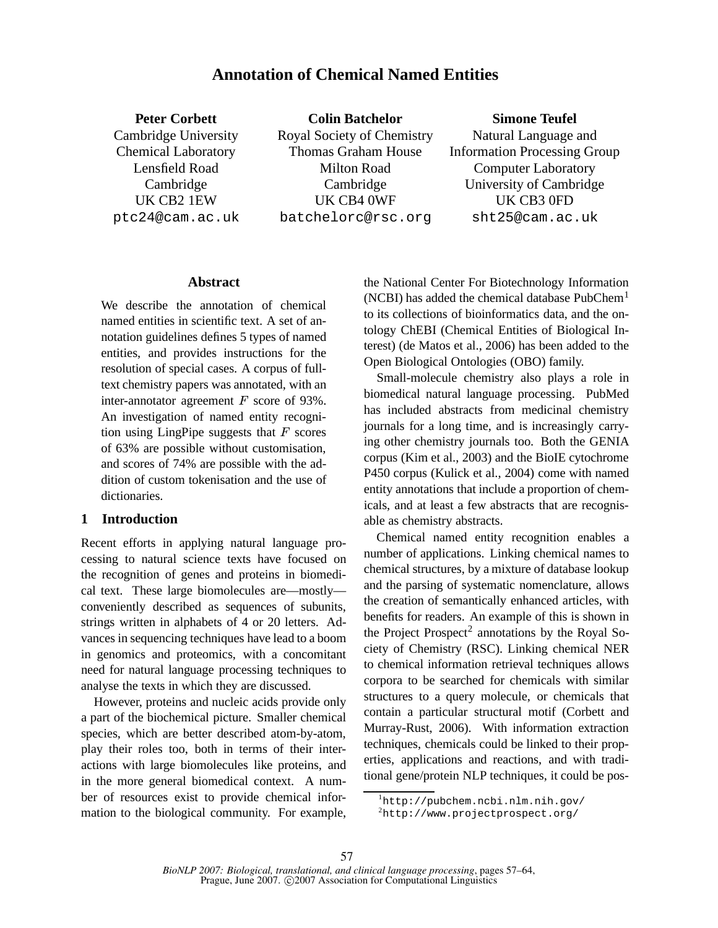# **Annotation of Chemical Named Entities**

**Peter Corbett** Cambridge University Chemical Laboratory Lensfield Road Cambridge UK CB2 1EW ptc24@cam.ac.uk

**Colin Batchelor** Royal Society of Chemistry Thomas Graham House Milton Road Cambridge UK CB4 0WF batchelorc@rsc.org

**Simone Teufel**

Natural Language and Information Processing Group Computer Laboratory University of Cambridge UK CB3 0FD sht25@cam.ac.uk

#### **Abstract**

We describe the annotation of chemical named entities in scientific text. A set of annotation guidelines defines 5 types of named entities, and provides instructions for the resolution of special cases. A corpus of fulltext chemistry papers was annotated, with an inter-annotator agreement  $F$  score of 93%. An investigation of named entity recognition using LingPipe suggests that  $F$  scores  $\frac{J}{r}$ of 63% are possible without customisation, and scores of 74% are possible with the addition of custom tokenisation and the use of dictionaries.

### **1 Introduction**

Recent efforts in applying natural language processing to natural science texts have focused on the recognition of genes and proteins in biomedical text. These large biomolecules are—mostly conveniently described as sequences of subunits, strings written in alphabets of 4 or 20 letters. Advances in sequencing techniques have lead to a boom in genomics and proteomics, with a concomitant need for natural language processing techniques to analyse the texts in which they are discussed.

However, proteins and nucleic acids provide only a part of the biochemical picture. Smaller chemical species, which are better described atom-by-atom, play their roles too, both in terms of their interactions with large biomolecules like proteins, and in the more general biomedical context. A number of resources exist to provide chemical information to the biological community. For example,

the National Center For Biotechnology Information (NCBI) has added the chemical database  $PubChem<sup>1</sup>$ to its collections of bioinformatics data, and the ontology ChEBI (Chemical Entities of Biological Interest) (de Matos et al., 2006) has been added to the Open Biological Ontologies (OBO) family.

Small-molecule chemistry also plays a role in biomedical natural language processing. PubMed has included abstracts from medicinal chemistry journals for a long time, and is increasingly carrying other chemistry journals too. Both the GENIA corpus (Kim et al., 2003) and the BioIE cytochrome P450 corpus (Kulick et al., 2004) come with named entity annotations that include a proportion of chemicals, and at least a few abstracts that are recognisable as chemistry abstracts.

Chemical named entity recognition enables a number of applications. Linking chemical names to chemical structures, by a mixture of database lookup and the parsing of systematic nomenclature, allows the creation of semantically enhanced articles, with benefits for readers. An example of this is shown in the Project Prospect<sup>2</sup> annotations by the Royal Society of Chemistry (RSC). Linking chemical NER to chemical information retrieval techniques allows corpora to be searched for chemicals with similar structures to a query molecule, or chemicals that contain a particular structural motif (Corbett and Murray-Rust, 2006). With information extraction techniques, chemicals could be linked to their properties, applications and reactions, and with traditional gene/protein NLP techniques, it could be pos-

<sup>1</sup>http://pubchem.ncbi.nlm.nih.gov/

 ${}^{2}$ http://www.projectprospect.org/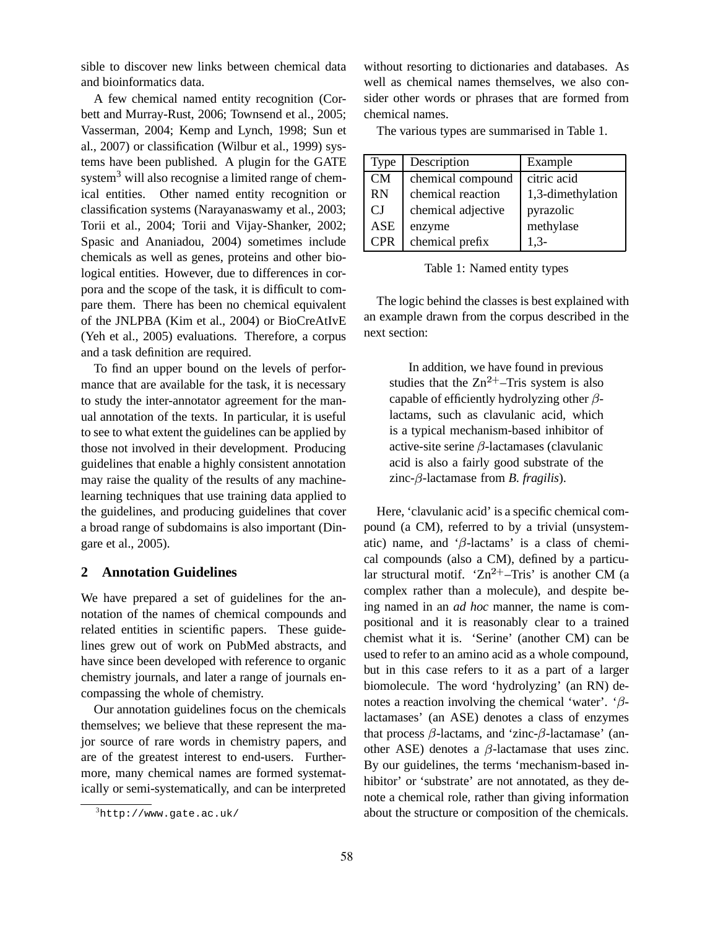sible to discover new links between chemical data and bioinformatics data.

A few chemical named entity recognition (Corbett and Murray-Rust, 2006; Townsend et al., 2005; Vasserman, 2004; Kemp and Lynch, 1998; Sun et al., 2007) or classification (Wilbur et al., 1999) systems have been published. A plugin for the GATE system<sup>3</sup> will also recognise a limited range of chemical entities. Other named entity recognition or classification systems (Narayanaswamy et al., 2003; Torii et al., 2004; Torii and Vijay-Shanker, 2002; Spasic and Ananiadou, 2004) sometimes include chemicals as well as genes, proteins and other biological entities. However, due to differences in corpora and the scope of the task, it is difficult to compare them. There has been no chemical equivalent of the JNLPBA (Kim et al., 2004) or BioCreAtIvE (Yeh et al., 2005) evaluations. Therefore, a corpus and a task definition are required.

To find an upper bound on the levels of performance that are available for the task, it is necessary to study the inter-annotator agreement for the manual annotation of the texts. In particular, it is useful to see to what extent the guidelines can be applied by those not involved in their development. Producing guidelines that enable a highly consistent annotation may raise the quality of the results of any machinelearning techniques that use training data applied to the guidelines, and producing guidelines that cover a broad range of subdomains is also important (Dingare et al., 2005).

### **2 Annotation Guidelines**

We have prepared a set of guidelines for the annotation of the names of chemical compounds and related entities in scientific papers. These guidelines grew out of work on PubMed abstracts, and have since been developed with reference to organic chemistry journals, and later a range of journals encompassing the whole of chemistry.

Our annotation guidelines focus on the chemicals themselves; we believe that these represent the major source of rare words in chemistry papers, and are of the greatest interest to end-users. Furthermore, many chemical names are formed systematically or semi-systematically, and can be interpreted without resorting to dictionaries and databases. As well as chemical names themselves, we also consider other words or phrases that are formed from chemical names.

The various types are summarised in Table 1.

| Type       | Description        | Example           |
|------------|--------------------|-------------------|
| CM         | chemical compound  | citric acid       |
| <b>RN</b>  | chemical reaction  | 1,3-dimethylation |
| СJ         | chemical adjective | pyrazolic         |
| <b>ASE</b> | enzyme             | methylase         |
| <b>CPR</b> | chemical prefix    | $1.3-$            |

Table 1: Named entity types

The logic behind the classes is best explained with an example drawn from the corpus described in the next section:

In addition, we have found in previous studies that the  $\text{Zn}^{2+}$ –Tris system is also capable of efficiently hydrolyzing other  $\beta$ lactams, such as clavulanic acid, which is a typical mechanism-based inhibitor of active-site serine  $\beta$ -lactamases (clavulanic acid is also a fairly good substrate of the  $\text{zinc-}\beta$ -lactamase from *B. fragilis*).

Here, 'clavulanic acid' is a specific chemical compound (a CM), referred to by a trivial (unsystematic) name, and ' $\beta$ -lactams' is a class of chemical compounds (also a CM), defined by a particular structural motif. ' $Zn^{2+}$ -Tris' is another CM (a complex rather than a molecule), and despite being named in an *ad hoc* manner, the name is compositional and it is reasonably clear to a trained chemist what it is. 'Serine' (another CM) can be used to refer to an amino acid as a whole compound, but in this case refers to it as a part of a larger biomolecule. The word 'hydrolyzing' (an RN) denotes a reaction involving the chemical 'water'. ' $\beta$ lactamases' (an ASE) denotes a class of enzymes that process  $\beta$ -lactams, and 'zinc- $\beta$ -lactamase' (another ASE) denotes a  $\beta$ -lactamase that uses zinc. By our guidelines, the terms 'mechanism-based inhibitor' or 'substrate' are not annotated, as they denote a chemical role, rather than giving information about the structure or composition of the chemicals.

 $3$ http://www.gate.ac.uk/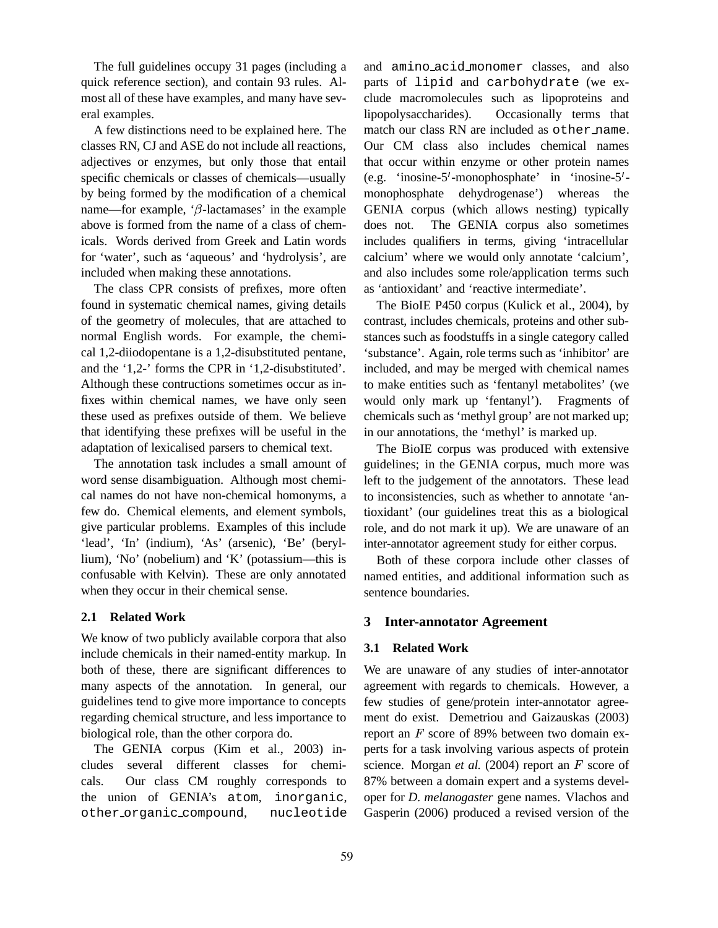The full guidelines occupy 31 pages (including a quick reference section), and contain 93 rules. Almost all of these have examples, and many have several examples.

A few distinctions need to be explained here. The classes RN, CJ and ASE do not include all reactions, adjectives or enzymes, but only those that entail specific chemicals or classes of chemicals—usually by being formed by the modification of a chemical name—for example, ' $\beta$ -lactamases' in the example above is formed from the name of a class of chemicals. Words derived from Greek and Latin words for 'water', such as 'aqueous' and 'hydrolysis', are included when making these annotations.

The class CPR consists of prefixes, more often found in systematic chemical names, giving details of the geometry of molecules, that are attached to normal English words. For example, the chemical 1,2-diiodopentane is a 1,2-disubstituted pentane, and the '1,2-' forms the CPR in '1,2-disubstituted'. Although these contructions sometimes occur as infixes within chemical names, we have only seen these used as prefixes outside of them. We believe that identifying these prefixes will be useful in the adaptation of lexicalised parsers to chemical text.

The annotation task includes a small amount of word sense disambiguation. Although most chemical names do not have non-chemical homonyms, a few do. Chemical elements, and element symbols, give particular problems. Examples of this include 'lead', 'In' (indium), 'As' (arsenic), 'Be' (beryllium), 'No' (nobelium) and 'K' (potassium—this is confusable with Kelvin). These are only annotated when they occur in their chemical sense.

#### **2.1 Related Work**

We know of two publicly available corpora that also include chemicals in their named-entity markup. In both of these, there are significant differences to many aspects of the annotation. In general, our guidelines tend to give more importance to concepts regarding chemical structure, and less importance to biological role, than the other corpora do.

The GENIA corpus (Kim et al., 2003) includes several different classes for chemicals. Our class CM roughly corresponds to the union of GENIA's atom, inorganic, other organic compound, nucleotide

and amino acid monomer classes, and also parts of lipid and carbohydrate (we exclude macromolecules such as lipoproteins and lipopolysaccharides). Occasionally terms that match our class RN are included as other name. Our CM class also includes chemical names that occur within enzyme or other protein names (e.g. 'inosine- $5'$ -monophosphate' in 'inosine- $5'$ monophosphate dehydrogenase') whereas the GENIA corpus (which allows nesting) typically does not. The GENIA corpus also sometimes includes qualifiers in terms, giving 'intracellular calcium' where we would only annotate 'calcium', and also includes some role/application terms such as 'antioxidant' and 'reactive intermediate'.

The BioIE P450 corpus (Kulick et al., 2004), by contrast, includes chemicals, proteins and other substances such as foodstuffs in a single category called 'substance'. Again, role terms such as 'inhibitor' are included, and may be merged with chemical names to make entities such as 'fentanyl metabolites' (we would only mark up 'fentanyl'). Fragments of chemicals such as 'methyl group' are not marked up; in our annotations, the 'methyl' is marked up.

The BioIE corpus was produced with extensive guidelines; in the GENIA corpus, much more was left to the judgement of the annotators. These lead to inconsistencies, such as whether to annotate 'antioxidant' (our guidelines treat this as a biological role, and do not mark it up). We are unaware of an inter-annotator agreement study for either corpus.

Both of these corpora include other classes of named entities, and additional information such as sentence boundaries.

### **3 Inter-annotator Agreement**

#### **3.1 Related Work**

We are unaware of any studies of inter-annotator agreement with regards to chemicals. However, a few studies of gene/protein inter-annotator agreement do exist. Demetriou and Gaizauskas (2003) report an  $F$  score of 89% between two domain experts for a task involving various aspects of protein science. Morgan *et al.* (2004) report an F score of 87% between a domain expert and a systems developer for *D. melanogaster* gene names. Vlachos and Gasperin (2006) produced a revised version of the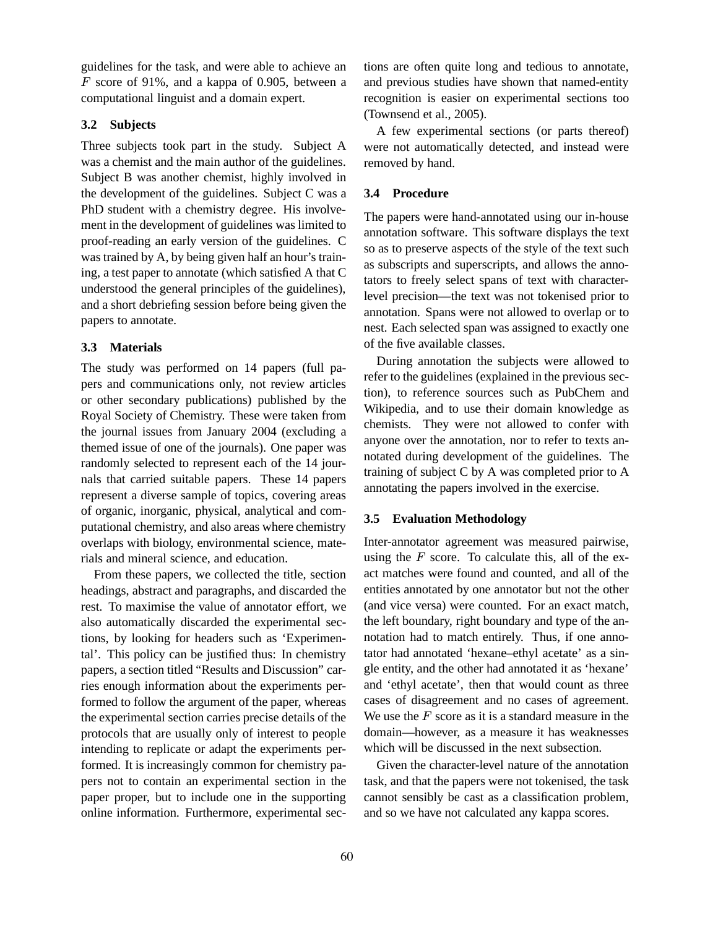guidelines for the task, and were able to achieve an  $F$  score of 91%, and a kappa of 0.905, between a computational linguist and a domain expert.

### **3.2 Subjects**

Three subjects took part in the study. Subject A was a chemist and the main author of the guidelines. Subject B was another chemist, highly involved in the development of the guidelines. Subject C was a PhD student with a chemistry degree. His involvement in the development of guidelines was limited to proof-reading an early version of the guidelines. C was trained by A, by being given half an hour's training, a test paper to annotate (which satisfied A that C understood the general principles of the guidelines), and a short debriefing session before being given the papers to annotate.

#### **3.3 Materials**

The study was performed on 14 papers (full papers and communications only, not review articles or other secondary publications) published by the Royal Society of Chemistry. These were taken from the journal issues from January 2004 (excluding a themed issue of one of the journals). One paper was randomly selected to represent each of the 14 journals that carried suitable papers. These 14 papers represent a diverse sample of topics, covering areas of organic, inorganic, physical, analytical and computational chemistry, and also areas where chemistry overlaps with biology, environmental science, materials and mineral science, and education.

From these papers, we collected the title, section headings, abstract and paragraphs, and discarded the rest. To maximise the value of annotator effort, we also automatically discarded the experimental sections, by looking for headers such as 'Experimental'. This policy can be justified thus: In chemistry papers, a section titled "Results and Discussion" carries enough information about the experiments performed to follow the argument of the paper, whereas the experimental section carries precise details of the protocols that are usually only of interest to people intending to replicate or adapt the experiments performed. It is increasingly common for chemistry papers not to contain an experimental section in the paper proper, but to include one in the supporting online information. Furthermore, experimental sections are often quite long and tedious to annotate, and previous studies have shown that named-entity recognition is easier on experimental sections too (Townsend et al., 2005).

A few experimental sections (or parts thereof) were not automatically detected, and instead were removed by hand.

### **3.4 Procedure**

The papers were hand-annotated using our in-house annotation software. This software displays the text so as to preserve aspects of the style of the text such as subscripts and superscripts, and allows the annotators to freely select spans of text with characterlevel precision—the text was not tokenised prior to annotation. Spans were not allowed to overlap or to nest. Each selected span was assigned to exactly one of the five available classes.

During annotation the subjects were allowed to refer to the guidelines (explained in the previous section), to reference sources such as PubChem and Wikipedia, and to use their domain knowledge as chemists. They were not allowed to confer with anyone over the annotation, nor to refer to texts annotated during development of the guidelines. The training of subject C by A was completed prior to A annotating the papers involved in the exercise.

#### **3.5 Evaluation Methodology**

Inter-annotator agreement was measured pairwise, using the  $F$  score. To calculate this, all of the exact matches were found and counted, and all of the entities annotated by one annotator but not the other (and vice versa) were counted. For an exact match, the left boundary, right boundary and type of the annotation had to match entirely. Thus, if one annotator had annotated 'hexane–ethyl acetate' as a single entity, and the other had annotated it as 'hexane' and 'ethyl acetate', then that would count as three cases of disagreement and no cases of agreement. We use the  $F$  score as it is a standard measure in the domain—however, as a measure it has weaknesses which will be discussed in the next subsection.

Given the character-level nature of the annotation task, and that the papers were not tokenised, the task cannot sensibly be cast as a classification problem, and so we have not calculated any kappa scores.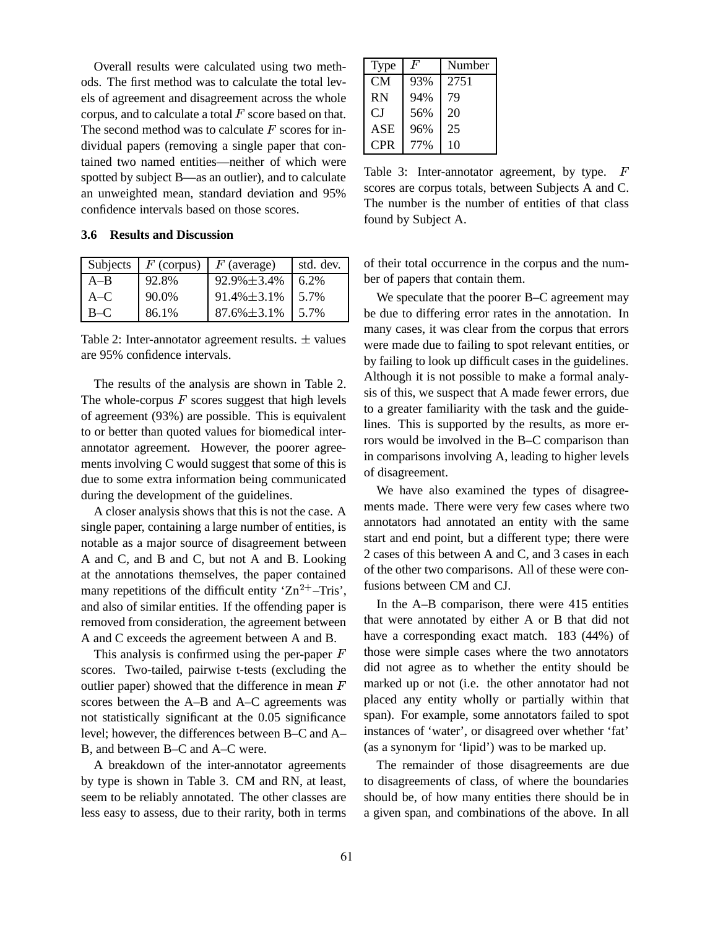Overall results were calculated using two methods. The first method was to calculate the total levels of agreement and disagreement across the whole corpus, and to calculate a total  $F$  score based on that. The second method was to calculate  $F$  scores for individual papers (removing a single paper that contained two named entities—neither of which were spotted by subject B—as an outlier), and to calculate an unweighted mean, standard deviation and 95% confidence intervals based on those scores.

### **3.6 Results and Discussion**

| Subjects |       | $F$ (corpus)   F (average) | std. dev. |
|----------|-------|----------------------------|-----------|
| $A-B$    | 92.8% | $92.9\% \pm 3.4\%$         | $6.2\%$   |
| $A-C$    | 90.0% | $91.4\% \pm 3.1\%$         | $1,5.7\%$ |
| $B-C$    | 86.1% | $87.6\% \pm 3.1\%$         | 5.7%      |

Table 2: Inter-annotator agreement results.  $\pm$  values are 95% confidence intervals.

The results of the analysis are shown in Table 2. The whole-corpus  $F$  scores suggest that high levels of agreement (93%) are possible. This is equivalent to or better than quoted values for biomedical interannotator agreement. However, the poorer agreements involving C would suggest that some of this is due to some extra information being communicated during the development of the guidelines.

A closer analysis shows that this is not the case. A single paper, containing a large number of entities, is notable as a major source of disagreement between A and C, and B and C, but not A and B. Looking at the annotations themselves, the paper contained many repetitions of the difficult entity ' $\text{Zn}^{2+}$ -Tris',  $\text{I}^{\text{R}}$ and also of similar entities. If the offending paper is removed from consideration, the agreement between A and C exceeds the agreement between A and B.

This analysis is confirmed using the per-paper  $F$ scores. Two-tailed, pairwise t-tests (excluding the outlier paper) showed that the difference in mean  $F$ scores between the A–B and A–C agreements was not statistically significant at the 0.05 significance level; however, the differences between B–C and A– B, and between B–C and A–C were.

A breakdown of the inter-annotator agreements by type is shown in Table 3. CM and RN, at least, seem to be reliably annotated. The other classes are less easy to assess, due to their rarity, both in terms

| Type       | F   | Number |
|------------|-----|--------|
| CМ         | 93% | 2751   |
| <b>RN</b>  | 94% | 79     |
| СJ         | 56% | 20     |
| ASE        | 96% | 25     |
| <b>CPR</b> | 77% | 10     |

Table 3: Inter-annotator agreement, by type. F scores are corpus totals, between Subjects A and C. The number is the number of entities of that class found by Subject A.

of their total occurrence in the corpus and the number of papers that contain them.

We speculate that the poorer B–C agreement may be due to differing error rates in the annotation. In many cases, it was clear from the corpus that errors were made due to failing to spot relevant entities, or by failing to look up difficult cases in the guidelines. Although it is not possible to make a formal analysis of this, we suspect that A made fewer errors, due to a greater familiarity with the task and the guidelines. This is supported by the results, as more errors would be involved in the B–C comparison than in comparisons involving A, leading to higher levels of disagreement.

We have also examined the types of disagreements made. There were very few cases where two annotators had annotated an entity with the same start and end point, but a different type; there were 2 cases of this between A and C, and 3 cases in each of the other two comparisons. All of these were confusions between CM and CJ.

In the A–B comparison, there were 415 entities that were annotated by either A or B that did not have a corresponding exact match. 183 (44%) of those were simple cases where the two annotators did not agree as to whether the entity should be marked up or not (i.e. the other annotator had not placed any entity wholly or partially within that span). For example, some annotators failed to spot instances of 'water', or disagreed over whether 'fat' (as a synonym for 'lipid') was to be marked up.

The remainder of those disagreements are due to disagreements of class, of where the boundaries should be, of how many entities there should be in a given span, and combinations of the above. In all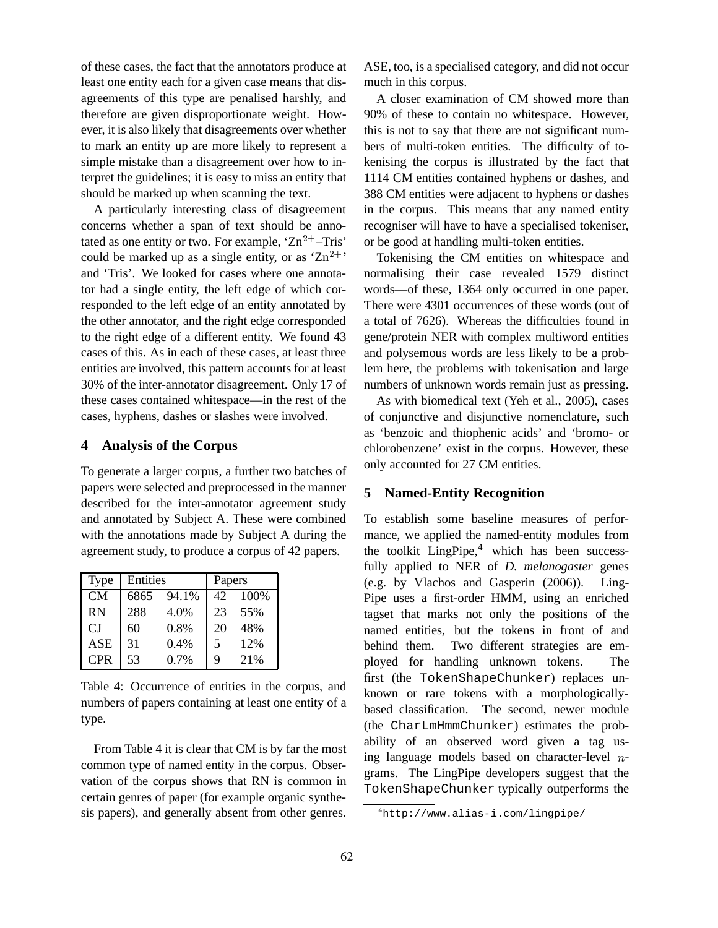of these cases, the fact that the annotators produce at least one entity each for a given case means that disagreements of this type are penalised harshly, and therefore are given disproportionate weight. However, it is also likely that disagreements over whether to mark an entity up are more likely to represent a simple mistake than a disagreement over how to interpret the guidelines; it is easy to miss an entity that should be marked up when scanning the text.

A particularly interesting class of disagreement concerns whether a span of text should be annotated as one entity or two. For example,  $Zn^{2+}$ –Tris' or could be marked up as a single entity, or as  $Zn^{2+}$  Toke and 'Tris'. We looked for cases where one annotator had a single entity, the left edge of which corresponded to the left edge of an entity annotated by the other annotator, and the right edge corresponded to the right edge of a different entity. We found 43 cases of this. As in each of these cases, at least three entities are involved, this pattern accounts for at least 30% of the inter-annotator disagreement. Only 17 of these cases contained whitespace—in the rest of the cases, hyphens, dashes or slashes were involved.

#### **4 Analysis of the Corpus**

To generate a larger corpus, a further two batches of papers were selected and preprocessed in the manner described for the inter-annotator agreement study and annotated by Subject A. These were combined with the annotations made by Subject A during the agreement study, to produce a corpus of 42 papers.

| Type        | Entities |       | Papers |      |
|-------------|----------|-------|--------|------|
| CM          | 6865     | 94.1% | 42     | 100% |
| <b>RN</b>   | 288      | 4.0%  | 23     | 55%  |
| $C_{\rm J}$ | 60       | 0.8%  | 20     | 48%  |
| <b>ASE</b>  | 31       | 0.4%  | 5      | 12%  |
| <b>CPR</b>  | 53       | 0.7%  | 9      | 21%  |

Table 4: Occurrence of entities in the corpus, and numbers of papers containing at least one entity of a type.

From Table 4 it is clear that CM is by far the most common type of named entity in the corpus. Observation of the corpus shows that RN is common in certain genres of paper (for example organic synthesis papers), and generally absent from other genres. ASE, too, is a specialised category, and did not occur much in this corpus.

A closer examination of CM showed more than 90% of these to contain no whitespace. However, this is not to say that there are not significant numbers of multi-token entities. The difficulty of tokenising the corpus is illustrated by the fact that 1114 CM entities contained hyphens or dashes, and 388 CM entities were adjacent to hyphens or dashes in the corpus. This means that any named entity recogniser will have to have a specialised tokeniser, or be good at handling multi-token entities.

Tokenising the CM entities on whitespace and normalising their case revealed 1579 distinct words—of these, 1364 only occurred in one paper. There were 4301 occurrences of these words (out of a total of 7626). Whereas the difficulties found in gene/protein NER with complex multiword entities and polysemous words are less likely to be a problem here, the problems with tokenisation and large numbers of unknown words remain just as pressing.

As with biomedical text (Yeh et al., 2005), cases of conjunctive and disjunctive nomenclature, such as 'benzoic and thiophenic acids' and 'bromo- or chlorobenzene' exist in the corpus. However, these only accounted for 27 CM entities.

# **5 Named-Entity Recognition**

To establish some baseline measures of performance, we applied the named-entity modules from the toolkit  $LingPipe,4$  which has been successfully applied to NER of *D. melanogaster* genes (e.g. by Vlachos and Gasperin (2006)). Ling-Pipe uses a first-order HMM, using an enriched tagset that marks not only the positions of the named entities, but the tokens in front of and behind them. Two different strategies are employed for handling unknown tokens. The first (the TokenShapeChunker) replaces unknown or rare tokens with a morphologicallybased classification. The second, newer module (the CharLmHmmChunker) estimates the probability of an observed word given a tag using language models based on character-level  $n$ grams. The LingPipe developers suggest that the TokenShapeChunker typically outperforms the

<sup>4</sup>http://www.alias-i.com/lingpipe/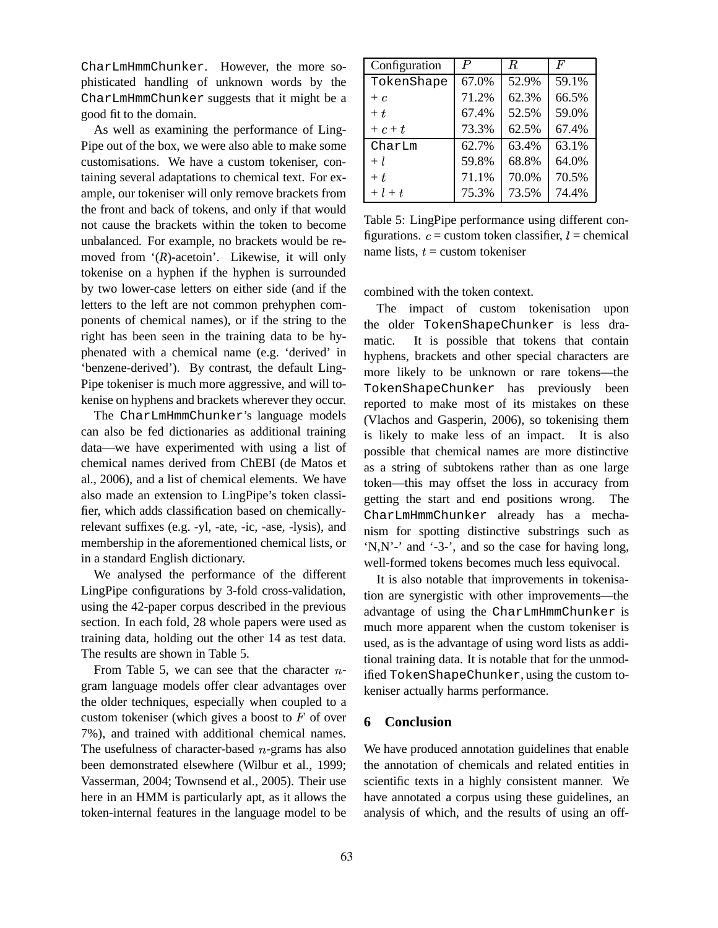CharLmHmmChunker. However, the more sophisticated handling of unknown words by the CharLmHmmChunker suggests that it might be a good fit to the domain.

As well as examining the performance of Ling-Pipe out of the box, we were also able to make some customisations. We have a custom tokeniser, containing several adaptations to chemical text. For example, our tokeniser will only remove brackets from the front and back of tokens, and only if that would not cause the brackets within the token to become unbalanced. For example, no brackets would be removed from '(*R*)-acetoin'. Likewise, it will only tokenise on a hyphen if the hyphen is surrounded by two lower-case letters on either side (and if the letters to the left are not common prehyphen components of chemical names), or if the string to the right has been seen in the training data to be hyphenated with a chemical name (e.g. 'derived' in 'benzene-derived'). By contrast, the default Ling-Pipe tokeniser is much more aggressive, and will tokenise on hyphens and brackets wherever they occur.

The CharLmHmmChunker's language models can also be fed dictionaries as additional training data—we have experimented with using a list of chemical names derived from ChEBI (de Matos et al., 2006), and a list of chemical elements. We have also made an extension to LingPipe's token classifier, which adds classification based on chemicallyrelevant suffixes (e.g. -yl, -ate, -ic, -ase, -lysis), and membership in the aforementioned chemical lists, or in a standard English dictionary.

We analysed the performance of the different LingPipe configurations by 3-fold cross-validation, using the 42-paper corpus described in the previous section. In each fold, 28 whole papers were used as training data, holding out the other 14 as test data. The results are shown in Table 5.

From Table 5, we can see that the character  $n$ gram language models offer clear advantages over the older techniques, especially when coupled to a custom tokeniser (which gives a boost to  $F$  of over  $\epsilon$ 7%), and trained with additional chemical names. The usefulness of character-based  $n$ -grams has also been demonstrated elsewhere (Wilbur et al., 1999; Vasserman, 2004; Townsend et al., 2005). Their use here in an HMM is particularly apt, as it allows the token-internal features in the language model to be

| Configuration | P     | R     | $\boldsymbol{F}$ |
|---------------|-------|-------|------------------|
| TokenShape    | 67.0% | 52.9% | 59.1%            |
| $+ c$         | 71.2% | 62.3% | 66.5%            |
| $+ t$         | 67.4% | 52.5% | 59.0%            |
| $+c+t$        | 73.3% | 62.5% | 67.4%            |
| CharLm        | 62.7% | 63.4% | 63.1%            |
| $+ l$         | 59.8% | 68.8% | 64.0%            |
| $+ t$         | 71.1% | 70.0% | 70.5%            |
| $+ l + t$     | 75.3% | 73.5% | 74.4%            |

Table 5: LingPipe performance using different configurations.  $c =$  custom token classifier,  $l =$  chemical name lists,  $t =$  custom tokeniser

combined with the token context.

The impact of custom tokenisation upon the older TokenShapeChunker is less dramatic. It is possible that tokens that contain hyphens, brackets and other special characters are more likely to be unknown or rare tokens—the TokenShapeChunker has previously been reported to make most of its mistakes on these (Vlachos and Gasperin, 2006), so tokenising them is likely to make less of an impact. It is also possible that chemical names are more distinctive as a string of subtokens rather than as one large token—this may offset the loss in accuracy from getting the start and end positions wrong. The CharLmHmmChunker already has a mechanism for spotting distinctive substrings such as 'N,N'-' and '-3-', and so the case for having long, well-formed tokens becomes much less equivocal.

It is also notable that improvements in tokenisation are synergistic with other improvements—the advantage of using the CharLmHmmChunker is much more apparent when the custom tokeniser is used, as is the advantage of using word lists as additional training data. It is notable that for the unmodified TokenShapeChunker, using the custom tokeniser actually harms performance.

# **6 Conclusion**

We have produced annotation guidelines that enable the annotation of chemicals and related entities in scientific texts in a highly consistent manner. We have annotated a corpus using these guidelines, an analysis of which, and the results of using an off